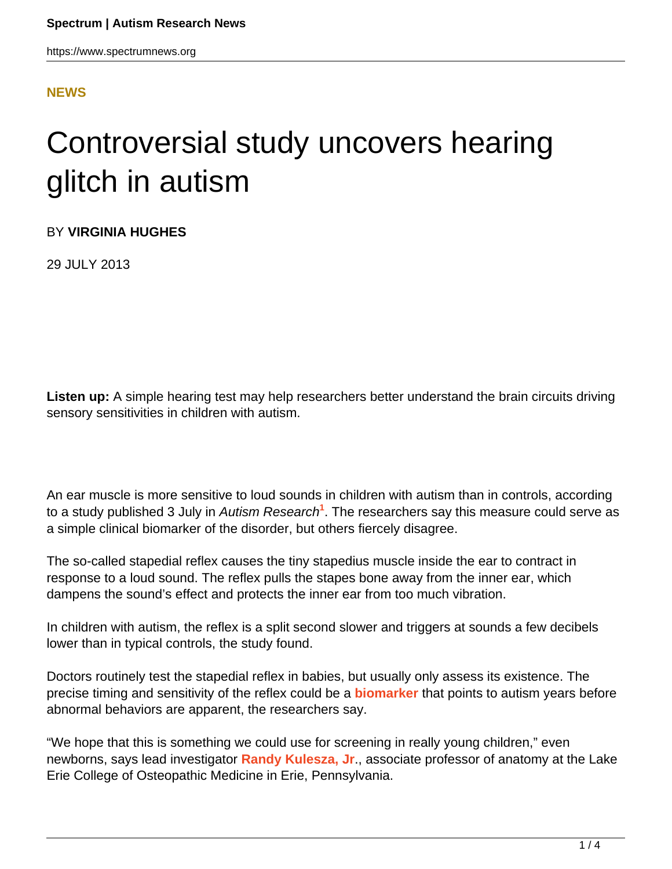## **[NEWS](HTTPS://WWW.SPECTRUMNEWS.ORG/NEWS/)**

## Controversial study uncovers hearing glitch in autism

BY **VIRGINIA HUGHES**

29 JULY 2013

**Listen up:** A simple hearing test may help researchers better understand the brain circuits driving sensory sensitivities in children with autism.

An ear muscle is more sensitive to loud sounds in children with autism than in controls, according to a study published 3 July in *Autism Research<sup>1</sup>.* The researchers say this measure could serve as a simple clinical biomarker of the disorder, but others fiercely disagree.

The so-called stapedial reflex causes the tiny stapedius muscle inside the ear to contract in response to a loud sound. The reflex pulls the stapes bone away from the inner ear, which dampens the sound's effect and protects the inner ear from too much vibration.

In children with autism, the reflex is a split second slower and triggers at sounds a few decibels lower than in typical controls, the study found.

Doctors routinely test the stapedial reflex in babies, but usually only assess its existence. The precise timing and sensitivity of the reflex could be a **[biomarker](https://www.spectrumnews.org/wiki/biomarkers)** that points to autism years before abnormal behaviors are apparent, the researchers say.

"We hope that this is something we could use for screening in really young children," even newborns, says lead investigator **[Randy Kulesza, Jr](http://lecom.edu/lrc/arc.php/staff/76/0/2833/17972)**., associate professor of anatomy at the Lake Erie College of Osteopathic Medicine in Erie, Pennsylvania.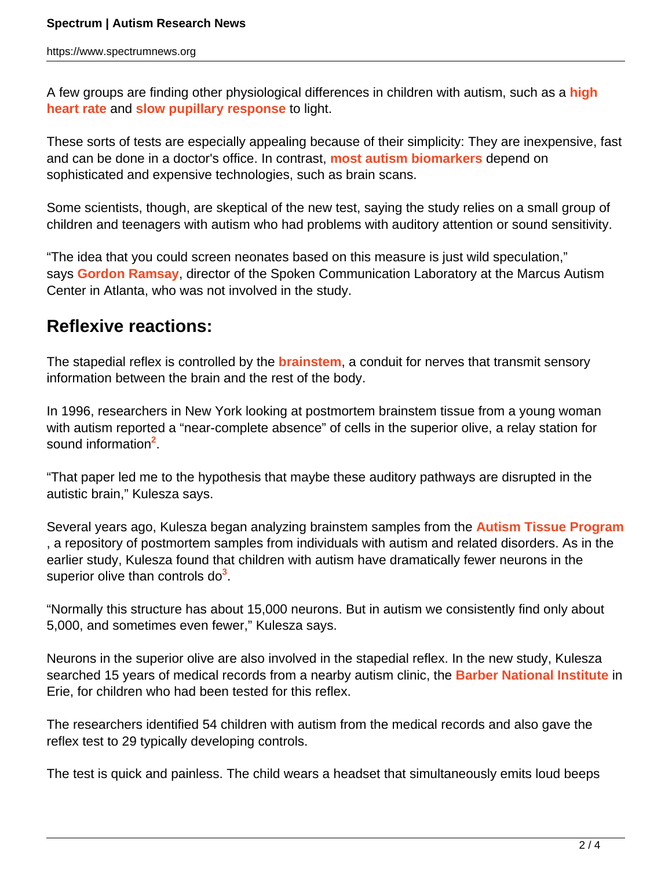A few groups are finding other physiological differences in children with autism, such as a **[high](https://www.spectrumnews.org/conference-news/2013/international-meeting-for-autism-research-2013/study-links-pupillary-reflex-heart-rate-in-autism) [heart rate](https://www.spectrumnews.org/conference-news/2013/international-meeting-for-autism-research-2013/study-links-pupillary-reflex-heart-rate-in-autism)** and **[slow pupillary response](https://www.spectrumnews.org/news/2009/pupil-response-to-light-could-be-biomarker-for-autism)** to light.

These sorts of tests are especially appealing because of their simplicity: They are inexpensive, fast and can be done in a doctor's office. In contrast, **[most autism biomarkers](https://www.spectrumnews.org/workshop-reports/2011/workshop-report-biomarkers-for-autism-research)** depend on sophisticated and expensive technologies, such as brain scans.

Some scientists, though, are skeptical of the new test, saying the study relies on a small group of children and teenagers with autism who had problems with auditory attention or sound sensitivity.

"The idea that you could screen neonates based on this measure is just wild speculation," says **[Gordon Ramsay](http://marcus.org/default.aspx?id=450)**, director of the Spoken Communication Laboratory at the Marcus Autism Center in Atlanta, who was not involved in the study.

## **Reflexive reactions:**

The stapedial reflex is controlled by the **[brainstem](https://www.spectrumnews.org/news/2013/brain-stem-grows-differently-in-boys-with-autism)**, a conduit for nerves that transmit sensory information between the brain and the rest of the body.

In 1996, researchers in New York looking at postmortem brainstem tissue from a young woman with autism reported a "near-complete absence" of cells in the superior olive, a relay station for sound information<sup>2</sup>.

"That paper led me to the hypothesis that maybe these auditory pathways are disrupted in the autistic brain," Kulesza says.

Several years ago, Kulesza began analyzing brainstem samples from the **[Autism Tissue Program](http://www.autismtissueprogram.org/site/c.nlKUL7MQIsG/b.5183271/k.BD86/Home.htm)** , a repository of postmortem samples from individuals with autism and related disorders. As in the earlier study, Kulesza found that children with autism have dramatically fewer neurons in the superior olive than controls do<sup>3</sup>.

"Normally this structure has about 15,000 neurons. But in autism we consistently find only about 5,000, and sometimes even fewer," Kulesza says.

Neurons in the superior olive are also involved in the stapedial reflex. In the new study, Kulesza searched 15 years of medical records from a nearby autism clinic, the **[Barber National Institute](http://www.barberinstitute.org/history-barber-national-institute)** in Erie, for children who had been tested for this reflex.

The researchers identified 54 children with autism from the medical records and also gave the reflex test to 29 typically developing controls.

The test is quick and painless. The child wears a headset that simultaneously emits loud beeps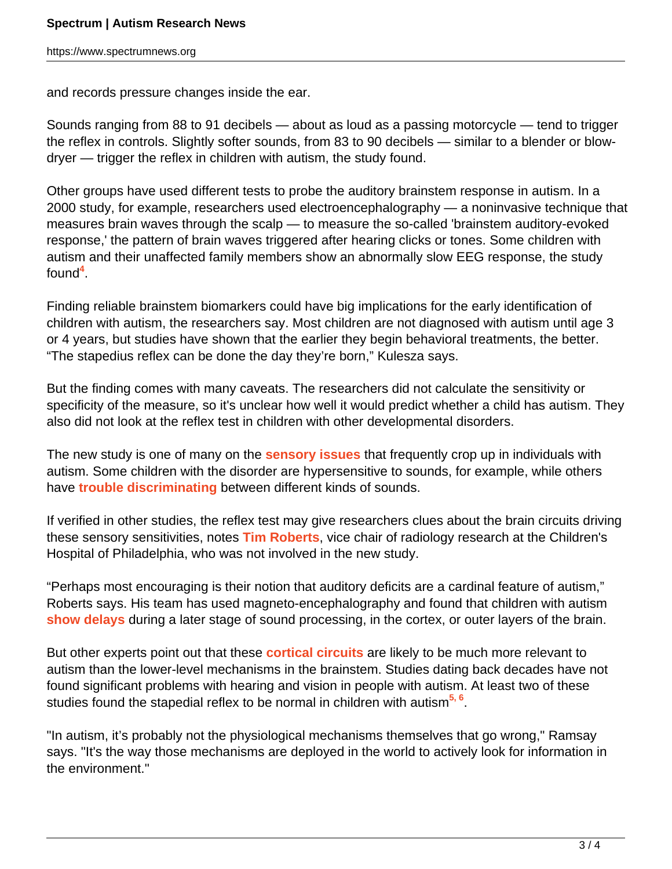and records pressure changes inside the ear.

Sounds ranging from 88 to 91 decibels — about as loud as a passing motorcycle — tend to trigger the reflex in controls. Slightly softer sounds, from 83 to 90 decibels — similar to a blender or blowdryer — trigger the reflex in children with autism, the study found.

Other groups have used different tests to probe the auditory brainstem response in autism. In a 2000 study, for example, researchers used electroencephalography — a noninvasive technique that measures brain waves through the scalp — to measure the so-called 'brainstem auditory-evoked response,' the pattern of brain waves triggered after hearing clicks or tones. Some children with autism and their unaffected family members show an abnormally slow EEG response, the study found**<sup>4</sup>** .

Finding reliable brainstem biomarkers could have big implications for the early identification of children with autism, the researchers say. Most children are not diagnosed with autism until age 3 or 4 years, but studies have shown that the earlier they begin behavioral treatments, the better. "The stapedius reflex can be done the day they're born," Kulesza says.

But the finding comes with many caveats. The researchers did not calculate the sensitivity or specificity of the measure, so it's unclear how well it would predict whether a child has autism. They also did not look at the reflex test in children with other developmental disorders.

The new study is one of many on the **[sensory issues](https://www.spectrumnews.org/viewpoint/2011/treatments-needed-for-severe-sensory-sensitivity)** that frequently crop up in individuals with autism. Some children with the disorder are hypersensitive to sounds, for example, while others have **[trouble discriminating](https://www.spectrumnews.org/in-brief/2012/cognition-and-behavior-study-probes-speech-processing)** between different kinds of sounds.

If verified in other studies, the reflex test may give researchers clues about the brain circuits driving these sensory sensitivities, notes **[Tim Roberts](http://sfari.org/author/?author=https://id.simonsfoundation.org/timroberts)**, vice chair of radiology research at the Children's Hospital of Philadelphia, who was not involved in the new study.

"Perhaps most encouraging is their notion that auditory deficits are a cardinal feature of autism," Roberts says. His team has used magneto-encephalography and found that children with autism **[show delays](https://www.spectrumnews.org/blog/2010/mega-marker)** during a later stage of sound processing, in the cortex, or outer layers of the brain.

But other experts point out that these **[cortical circuits](https://www.spectrumnews.org/news/2012/noisy-brain-signals-could-underlie-autism-study-says)** are likely to be much more relevant to autism than the lower-level mechanisms in the brainstem. Studies dating back decades have not found significant problems with hearing and vision in people with autism. At least two of these studies found the stapedial reflex to be normal in children with autism**5, 6** .

"In autism, it's probably not the physiological mechanisms themselves that go wrong," Ramsay says. "It's the way those mechanisms are deployed in the world to actively look for information in the environment."